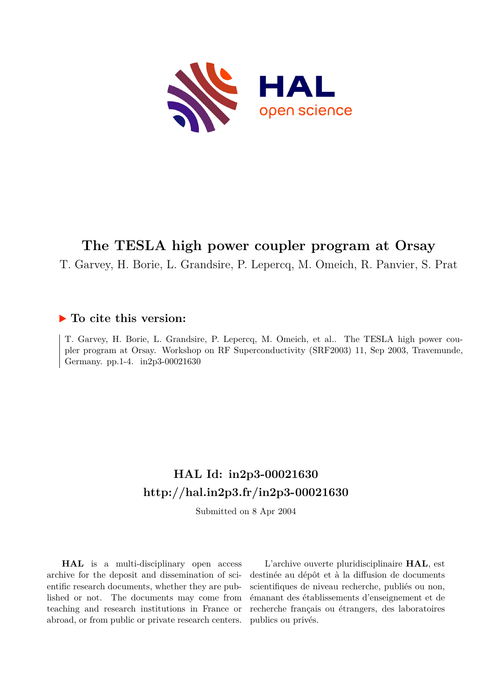

# **The TESLA high power coupler program at Orsay**

T. Garvey, H. Borie, L. Grandsire, P. Lepercq, M. Omeich, R. Panvier, S. Prat

### **To cite this version:**

T. Garvey, H. Borie, L. Grandsire, P. Lepercq, M. Omeich, et al.. The TESLA high power coupler program at Orsay. Workshop on RF Superconductivity (SRF2003) 11, Sep 2003, Travemunde, Germany. pp.1-4. in2p3-00021630

## **HAL Id: in2p3-00021630 <http://hal.in2p3.fr/in2p3-00021630>**

Submitted on 8 Apr 2004

**HAL** is a multi-disciplinary open access archive for the deposit and dissemination of scientific research documents, whether they are published or not. The documents may come from teaching and research institutions in France or abroad, or from public or private research centers.

L'archive ouverte pluridisciplinaire **HAL**, est destinée au dépôt et à la diffusion de documents scientifiques de niveau recherche, publiés ou non, émanant des établissements d'enseignement et de recherche français ou étrangers, des laboratoires publics ou privés.